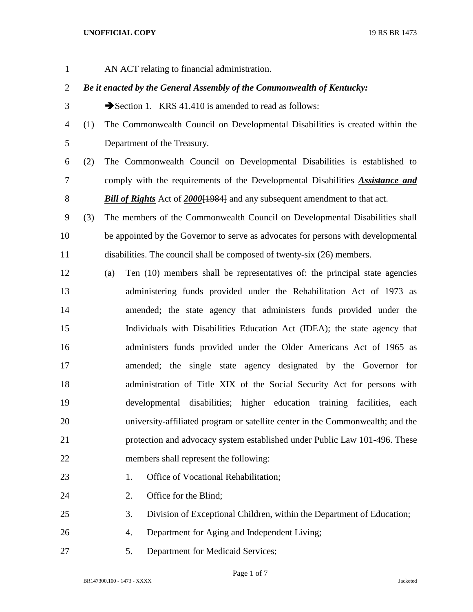## **UNOFFICIAL COPY** 19 RS BR 1473

AN ACT relating to financial administration.

## *Be it enacted by the General Assembly of the Commonwealth of Kentucky:*

- 3 Section 1. KRS 41.410 is amended to read as follows:
- (1) The Commonwealth Council on Developmental Disabilities is created within the Department of the Treasury.
- (2) The Commonwealth Council on Developmental Disabilities is established to comply with the requirements of the Developmental Disabilities *Assistance and Bill of Rights* Act of *2000*[1984] and any subsequent amendment to that act.
- (3) The members of the Commonwealth Council on Developmental Disabilities shall be appointed by the Governor to serve as advocates for persons with developmental disabilities. The council shall be composed of twenty-six (26) members.
- (a) Ten (10) members shall be representatives of: the principal state agencies administering funds provided under the Rehabilitation Act of 1973 as amended; the state agency that administers funds provided under the Individuals with Disabilities Education Act (IDEA); the state agency that administers funds provided under the Older Americans Act of 1965 as amended; the single state agency designated by the Governor for administration of Title XIX of the Social Security Act for persons with developmental disabilities; higher education training facilities, each university-affiliated program or satellite center in the Commonwealth; and the protection and advocacy system established under Public Law 101-496. These members shall represent the following:
- 23 1. Office of Vocational Rehabilitation;
- 24 2. Office for the Blind;
- 3. Division of Exceptional Children, within the Department of Education;
- 4. Department for Aging and Independent Living;
- 5. Department for Medicaid Services;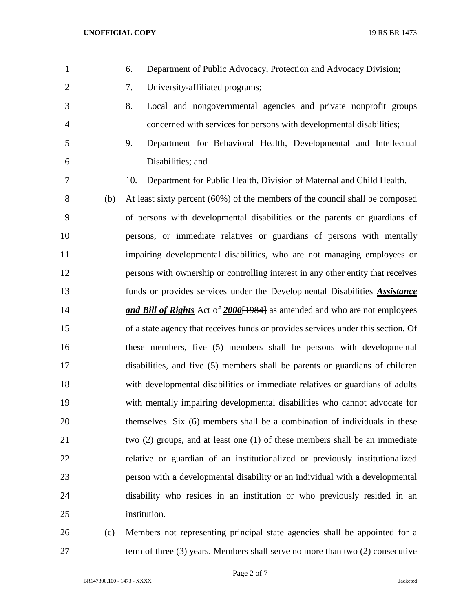- 6. Department of Public Advocacy, Protection and Advocacy Division; 7. University-affiliated programs; 8. Local and nongovernmental agencies and private nonprofit groups concerned with services for persons with developmental disabilities; 9. Department for Behavioral Health, Developmental and Intellectual Disabilities; and 10. Department for Public Health, Division of Maternal and Child Health. (b) At least sixty percent (60%) of the members of the council shall be composed of persons with developmental disabilities or the parents or guardians of persons, or immediate relatives or guardians of persons with mentally impairing developmental disabilities, who are not managing employees or persons with ownership or controlling interest in any other entity that receives funds or provides services under the Developmental Disabilities *Assistance and Bill of Rights* Act of *2000*[1984] as amended and who are not employees of a state agency that receives funds or provides services under this section. Of these members, five (5) members shall be persons with developmental disabilities, and five (5) members shall be parents or guardians of children with developmental disabilities or immediate relatives or guardians of adults with mentally impairing developmental disabilities who cannot advocate for themselves. Six (6) members shall be a combination of individuals in these two (2) groups, and at least one (1) of these members shall be an immediate relative or guardian of an institutionalized or previously institutionalized person with a developmental disability or an individual with a developmental disability who resides in an institution or who previously resided in an institution. (c) Members not representing principal state agencies shall be appointed for a
- term of three (3) years. Members shall serve no more than two (2) consecutive

BR147300.100 - 1473 - XXXX Jacketed

Page 2 of 7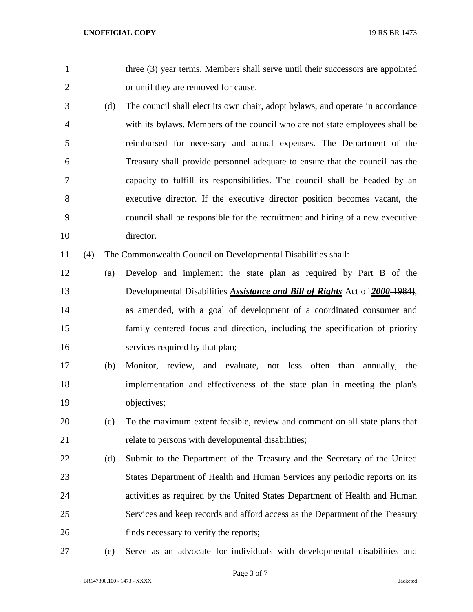1 three (3) year terms. Members shall serve until their successors are appointed or until they are removed for cause.

 (d) The council shall elect its own chair, adopt bylaws, and operate in accordance with its bylaws. Members of the council who are not state employees shall be reimbursed for necessary and actual expenses. The Department of the Treasury shall provide personnel adequate to ensure that the council has the capacity to fulfill its responsibilities. The council shall be headed by an executive director. If the executive director position becomes vacant, the council shall be responsible for the recruitment and hiring of a new executive director.

(4) The Commonwealth Council on Developmental Disabilities shall:

- (a) Develop and implement the state plan as required by Part B of the Developmental Disabilities *Assistance and Bill of Rights* Act of *2000*[1984], as amended, with a goal of development of a coordinated consumer and family centered focus and direction, including the specification of priority 16 services required by that plan;
- (b) Monitor, review, and evaluate, not less often than annually, the implementation and effectiveness of the state plan in meeting the plan's objectives;
- (c) To the maximum extent feasible, review and comment on all state plans that relate to persons with developmental disabilities;
- (d) Submit to the Department of the Treasury and the Secretary of the United States Department of Health and Human Services any periodic reports on its activities as required by the United States Department of Health and Human Services and keep records and afford access as the Department of the Treasury finds necessary to verify the reports;
- 

(e) Serve as an advocate for individuals with developmental disabilities and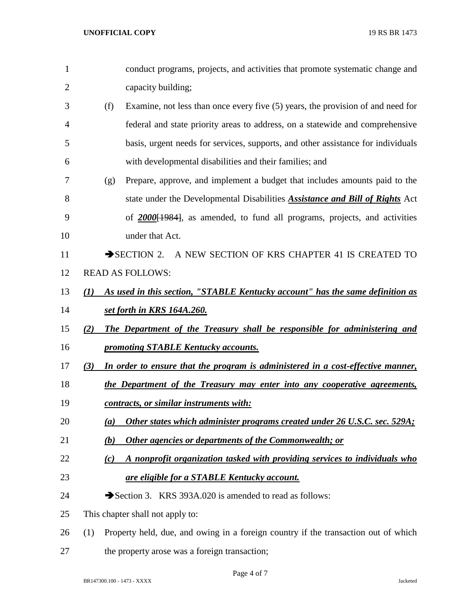| 1              |     | conduct programs, projects, and activities that promote systematic change and       |
|----------------|-----|-------------------------------------------------------------------------------------|
| $\overline{2}$ |     | capacity building;                                                                  |
| 3              | (f) | Examine, not less than once every five (5) years, the provision of and need for     |
| 4              |     | federal and state priority areas to address, on a statewide and comprehensive       |
| 5              |     | basis, urgent needs for services, supports, and other assistance for individuals    |
| 6              |     | with developmental disabilities and their families; and                             |
| 7              | (g) | Prepare, approve, and implement a budget that includes amounts paid to the          |
| 8              |     | state under the Developmental Disabilities <b>Assistance and Bill of Rights</b> Act |
| 9              |     | of $2000[1984]$ , as amended, to fund all programs, projects, and activities        |
| 10             |     | under that Act.                                                                     |
| 11             |     | SECTION 2. A NEW SECTION OF KRS CHAPTER 41 IS CREATED TO                            |
| 12             |     | <b>READ AS FOLLOWS:</b>                                                             |
| 13             | (I) | As used in this section, "STABLE Kentucky account" has the same definition as       |
| 14             |     | set forth in KRS 164A.260.                                                          |
| 15             | (2) | The Department of the Treasury shall be responsible for administering and           |
| 16             |     | promoting STABLE Kentucky accounts.                                                 |
| 17             | (3) | In order to ensure that the program is administered in a cost-effective manner,     |
| 18             |     | the Department of the Treasury may enter into any cooperative agreements,           |
| 19             |     | contracts, or similar instruments with:                                             |
| 20             | (a) | Other states which administer programs created under 26 U.S.C. sec. 529A;           |
| 21             | (b) | Other agencies or departments of the Commonwealth; or                               |
| 22             | (c) | A nonprofit organization tasked with providing services to individuals who          |
| 23             |     | are eligible for a STABLE Kentucky account.                                         |
| 24             |     | Section 3. KRS 393A.020 is amended to read as follows:                              |
| 25             |     | This chapter shall not apply to:                                                    |
| 26             | (1) | Property held, due, and owing in a foreign country if the transaction out of which  |
| 27             |     | the property arose was a foreign transaction;                                       |

Page 4 of 7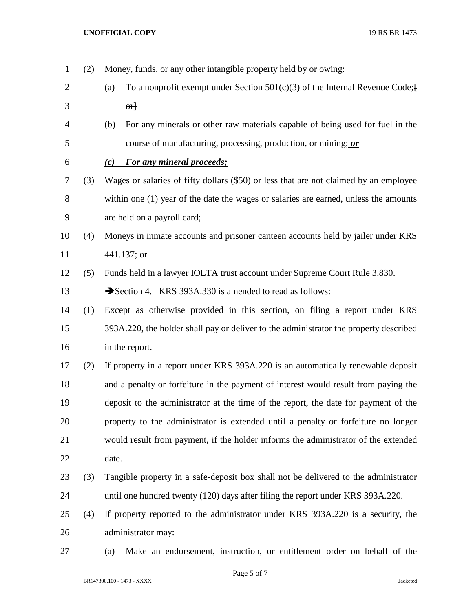(2) Money, funds, or any other intangible property held by or owing: 2 (a) To a nonprofit exempt under Section  $501(c)(3)$  of the Internal Revenue Code;  $3 \qquad \qquad \text{or}$  (b) For any minerals or other raw materials capable of being used for fuel in the course of manufacturing, processing, production, or mining; *or (c) For any mineral proceeds;* (3) Wages or salaries of fifty dollars (\$50) or less that are not claimed by an employee within one (1) year of the date the wages or salaries are earned, unless the amounts are held on a payroll card; (4) Moneys in inmate accounts and prisoner canteen accounts held by jailer under KRS 441.137; or (5) Funds held in a lawyer IOLTA trust account under Supreme Court Rule 3.830. 13 Section 4. KRS 393A.330 is amended to read as follows: (1) Except as otherwise provided in this section, on filing a report under KRS 393A.220, the holder shall pay or deliver to the administrator the property described in the report. (2) If property in a report under KRS 393A.220 is an automatically renewable deposit and a penalty or forfeiture in the payment of interest would result from paying the deposit to the administrator at the time of the report, the date for payment of the property to the administrator is extended until a penalty or forfeiture no longer would result from payment, if the holder informs the administrator of the extended date. (3) Tangible property in a safe-deposit box shall not be delivered to the administrator until one hundred twenty (120) days after filing the report under KRS 393A.220. (4) If property reported to the administrator under KRS 393A.220 is a security, the administrator may: (a) Make an endorsement, instruction, or entitlement order on behalf of the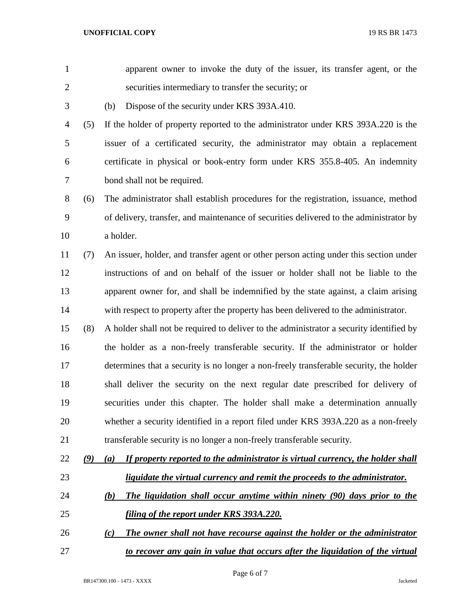**UNOFFICIAL COPY** 19 RS BR 1473

| $\mathbf{1}$   |               | apparent owner to invoke the duty of the issuer, its transfer agent, or the             |
|----------------|---------------|-----------------------------------------------------------------------------------------|
| $\mathbf{2}$   |               | securities intermediary to transfer the security; or                                    |
| $\mathfrak{Z}$ |               | Dispose of the security under KRS 393A.410.<br>(b)                                      |
| $\overline{4}$ | (5)           | If the holder of property reported to the administrator under KRS 393A.220 is the       |
| 5              |               | issuer of a certificated security, the administrator may obtain a replacement           |
| 6              |               | certificate in physical or book-entry form under KRS 355.8-405. An indemnity            |
| 7              |               | bond shall not be required.                                                             |
| $8\,$          | (6)           | The administrator shall establish procedures for the registration, issuance, method     |
| 9              |               | of delivery, transfer, and maintenance of securities delivered to the administrator by  |
| 10             |               | a holder.                                                                               |
| 11             | (7)           | An issuer, holder, and transfer agent or other person acting under this section under   |
| 12             |               | instructions of and on behalf of the issuer or holder shall not be liable to the        |
| 13             |               | apparent owner for, and shall be indemnified by the state against, a claim arising      |
| 14             |               | with respect to property after the property has been delivered to the administrator.    |
| 15             | (8)           | A holder shall not be required to deliver to the administrator a security identified by |
| 16             |               | the holder as a non-freely transferable security. If the administrator or holder        |
| 17             |               | determines that a security is no longer a non-freely transferable security, the holder  |
| 18             |               | shall deliver the security on the next regular date prescribed for delivery of          |
| 19             |               | securities under this chapter. The holder shall make a determination annually           |
| 20             |               | whether a security identified in a report filed under KRS 393A.220 as a non-freely      |
| 21             |               | transferable security is no longer a non-freely transferable security.                  |
| 22             | $\mathcal{Q}$ | If property reported to the administrator is virtual currency, the holder shall<br>(a)  |
| 23             |               | liquidate the virtual currency and remit the proceeds to the administrator.             |
| 24             |               | The liquidation shall occur anytime within ninety (90) days prior to the<br><u>(b)</u>  |
| 25             |               | <u>filing of the report under KRS 393A.220.</u>                                         |
| 26             |               | The owner shall not have recourse against the holder or the administrator<br>(c)        |
| 27             |               | to recover any gain in value that occurs after the liquidation of the virtual           |
|                |               |                                                                                         |

Page 6 of 7